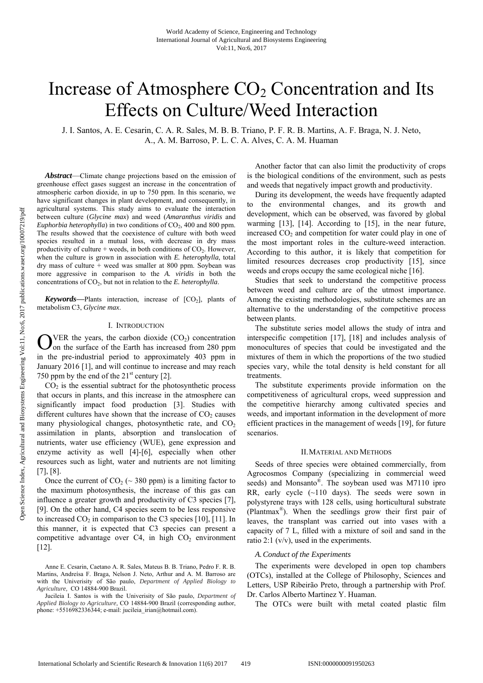# Increase of Atmosphere  $CO<sub>2</sub>$  Concentration and Its Effects on Culture/Weed Interaction

J. I. Santos, A. E. Cesarin, C. A. R. Sales, M. B. B. Triano, P. F. R. B. Martins, A. F. Braga, N. J. Neto, A., A. M. Barroso, P. L. C. A. Alves, C. A. M. Huaman

*Abstract*—Climate change projections based on the emission of greenhouse effect gases suggest an increase in the concentration of atmospheric carbon dioxide, in up to 750 ppm. In this scenario, we have significant changes in plant development, and consequently, in agricultural systems. This study aims to evaluate the interaction between culture (*Glycine max*) and weed (*Amaranthus viridis* and *Euphorbia heterophylla*) in two conditions of  $CO<sub>2</sub>$ , 400 and 800 ppm. The results showed that the coexistence of culture with both weed species resulted in a mutual loss, with decrease in dry mass productivity of culture + weeds, in both conditions of  $CO<sub>2</sub>$ . However, when the culture is grown in association with *E. heterophylla*, total dry mass of culture + weed was smaller at 800 ppm. Soybean was more aggressive in comparison to the *A. viridis* in both the concentrations of  $CO<sub>2</sub>$ , but not in relation to the *E. heterophylla*.

**Keywords**—Plants interaction, increase of  $[CO_2]$ , plants of metabolism C3, *Glycine max*.

# I. INTRODUCTION

VER the years, the carbon dioxide  $(CO<sub>2</sub>)$  concentration  $\sum$ VER the years, the carbon dioxide (CO<sub>2</sub>) concentration<br>on the surface of the Earth has increased from 280 ppm in the pre-industrial period to approximately 403 ppm in January 2016 [1], and will continue to increase and may reach 750 ppm by the end of the  $21<sup>st</sup>$  century [2].

 $CO<sub>2</sub>$  is the essential subtract for the photosynthetic process that occurs in plants, and this increase in the atmosphere can significantly impact food production [3]. Studies with different cultures have shown that the increase of  $CO<sub>2</sub>$  causes many physiological changes, photosynthetic rate, and  $CO<sub>2</sub>$ assimilation in plants, absorption and translocation of nutrients, water use efficiency (WUE), gene expression and enzyme activity as well [4]-[6], especially when other resources such as light, water and nutrients are not limiting [7], [8].

Once the current of  $CO_2$  ( $\sim$  380 ppm) is a limiting factor to the maximum photosynthesis, the increase of this gas can influence a greater growth and productivity of C3 species [7], [9]. On the other hand, C4 species seem to be less responsive to increased  $CO<sub>2</sub>$  in comparison to the C3 species [10], [11]. In this manner, it is expected that C3 species can present a competitive advantage over C4, in high  $CO<sub>2</sub>$  environment [12].

Another factor that can also limit the productivity of crops is the biological conditions of the environment, such as pests and weeds that negatively impact growth and productivity.

During its development, the weeds have frequently adapted to the environmental changes, and its growth and development, which can be observed, was favored by global warming [13], [14]. According to [15], in the near future, increased CO<sub>2</sub> and competition for water could play in one of the most important roles in the culture-weed interaction. According to this author, it is likely that competition for limited resources decreases crop productivity [15], since weeds and crops occupy the same ecological niche [16].

Studies that seek to understand the competitive process between weed and culture are of the utmost importance. Among the existing methodologies, substitute schemes are an alternative to the understanding of the competitive process between plants.

The substitute series model allows the study of intra and interspecific competition [17], [18] and includes analysis of monocultures of species that could be investigated and the mixtures of them in which the proportions of the two studied species vary, while the total density is held constant for all treatments.

The substitute experiments provide information on the competitiveness of agricultural crops, weed suppression and the competitive hierarchy among cultivated species and weeds, and important information in the development of more efficient practices in the management of weeds [19], for future scenarios.

#### II.MATERIAL AND METHODS

Seeds of three species were obtained commercially, from Agrocosmos Company (specializing in commercial weed seeds) and Monsanto®. The soybean used was M7110 ipro RR, early cycle (~110 days). The seeds were sown in polystyrene trays with 128 cells, using horticultural substrate (Plantmax®). When the seedlings grow their first pair of leaves, the transplant was carried out into vases with a capacity of 7 L, filled with a mixture of soil and sand in the ratio 2:1 (v/v), used in the experiments.

## *A.Conduct of the Experiments*

The experiments were developed in open top chambers (OTCs), installed at the College of Philosophy, Sciences and Letters, USP Ribeirão Preto, through a partnership with Prof. Dr. Carlos Alberto Martinez Y. Huaman.

The OTCs were built with metal coated plastic film

Anne E. Cesarin, Caetano A. R. Sales, Mateus B. B. Triano, Pedro F. R. B. Martins, Andreísa F. Braga, Nelson J. Neto, Arthur and A. M. Barroso are with the Univerisity of São paulo, *Department of Applied Biology to Agriculture,* CO 14884-900 Brazil.

Jucileia I. Santos is with the Univerisity of São paulo, *Department of Applied Biology to Agriculture,* CO 14884-900 Brazil (corresponding author, phone: +5516982336344; e-mail: jucileia\_irian@hotmail.com).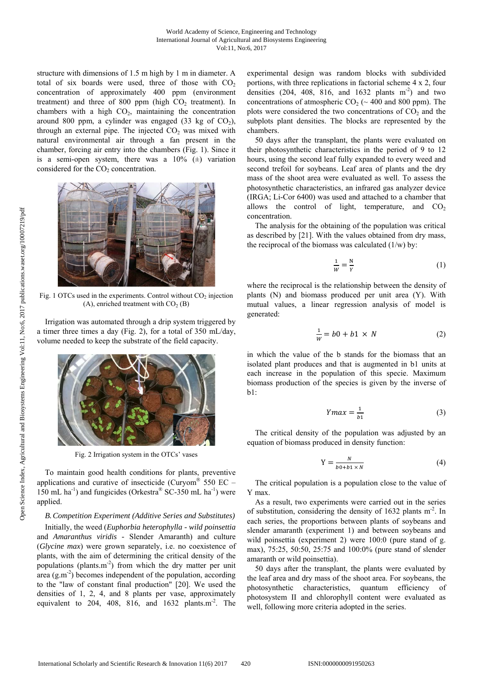structure with dimensions of 1.5 m high by 1 m in diameter. A total of six boards were used, three of those with  $CO<sub>2</sub>$ concentration of approximately 400 ppm (environment treatment) and three of 800 ppm (high  $CO<sub>2</sub>$  treatment). In chambers with a high  $CO<sub>2</sub>$ , maintaining the concentration around 800 ppm, a cylinder was engaged (33 kg of  $CO<sub>2</sub>$ ), through an external pipe. The injected  $CO<sub>2</sub>$  was mixed with natural environmental air through a fan present in the chamber, forcing air entry into the chambers (Fig. 1). Since it is a semi-open system, there was a  $10\%$  ( $\pm$ ) variation considered for the  $CO<sub>2</sub>$  concentration.



Fig. 1 OTCs used in the experiments. Control without  $CO<sub>2</sub>$  injection (A), enriched treatment with  $CO<sub>2</sub>$  (B)

Irrigation was automated through a drip system triggered by a timer three times a day (Fig. 2), for a total of 350 mL/day, volume needed to keep the substrate of the field capacity.



Fig. 2 Irrigation system in the OTCs' vases

To maintain good health conditions for plants, preventive applications and curative of insecticide (Curyom® 550 EC – 150 mL ha<sup>-1</sup>) and fungicides (Orkestra® SC-350 mL ha<sup>-1</sup>) were applied.

## *B.Competition Experiment (Additive Series and Substitutes)*

Initially, the weed (*Euphorbia heterophylla - wild poinsettia* and *Amaranthus viridis -* Slender Amaranth) and culture (*Glycine max*) were grown separately, i.e. no coexistence of plants, with the aim of determining the critical density of the populations (plants.m-2) from which the dry matter per unit area  $(g.m<sup>2</sup>)$  becomes independent of the population, according to the "law of constant final production" [20]. We used the densities of 1, 2, 4, and 8 plants per vase, approximately equivalent to 204, 408, 816, and  $1632$  plants.m<sup>-2</sup>. The experimental design was random blocks with subdivided portions, with three replications in factorial scheme 4 x 2, four densities (204, 408, 816, and 1632 plants  $m<sup>-2</sup>$ ) and two concentrations of atmospheric  $CO<sub>2</sub>$  ( $\sim$  400 and 800 ppm). The plots were considered the two concentrations of  $CO<sub>2</sub>$  and the subplots plant densities. The blocks are represented by the chambers.

50 days after the transplant, the plants were evaluated on their photosynthetic characteristics in the period of 9 to 12 hours, using the second leaf fully expanded to every weed and second trefoil for soybeans. Leaf area of plants and the dry mass of the shoot area were evaluated as well. To assess the photosynthetic characteristics, an infrared gas analyzer device (IRGA; Li-Cor 6400) was used and attached to a chamber that allows the control of light, temperature, and  $CO<sub>2</sub>$ concentration.

The analysis for the obtaining of the population was critical as described by [21]. With the values obtained from dry mass, the reciprocal of the biomass was calculated  $(1/w)$  by:

$$
\frac{1}{w} = \frac{N}{Y}
$$
 (1)

where the reciprocal is the relationship between the density of plants (N) and biomass produced per unit area (Y). With mutual values, a linear regression analysis of model is generated:

$$
\frac{1}{w} = b0 + b1 \times N \tag{2}
$$

in which the value of the b stands for the biomass that an isolated plant produces and that is augmented in b1 units at each increase in the population of this specie. Maximum biomass production of the species is given by the inverse of b1:

$$
Ymax = \frac{1}{b_1} \tag{3}
$$

The critical density of the population was adjusted by an equation of biomass produced in density function:

$$
Y = \frac{N}{b0 + b1 \times N} \tag{4}
$$

The critical population is a population close to the value of Y max.

As a result, two experiments were carried out in the series of substitution, considering the density of 1632 plants m-2. In each series, the proportions between plants of soybeans and slender amaranth (experiment 1) and between soybeans and wild poinsettia (experiment 2) were 100:0 (pure stand of g. max), 75:25, 50:50, 25:75 and 100:0% (pure stand of slender amaranth or wild poinsettia).

50 days after the transplant, the plants were evaluated by the leaf area and dry mass of the shoot area. For soybeans, the photosynthetic characteristics, quantum efficiency of photosystem II and chlorophyll content were evaluated as well, following more criteria adopted in the series.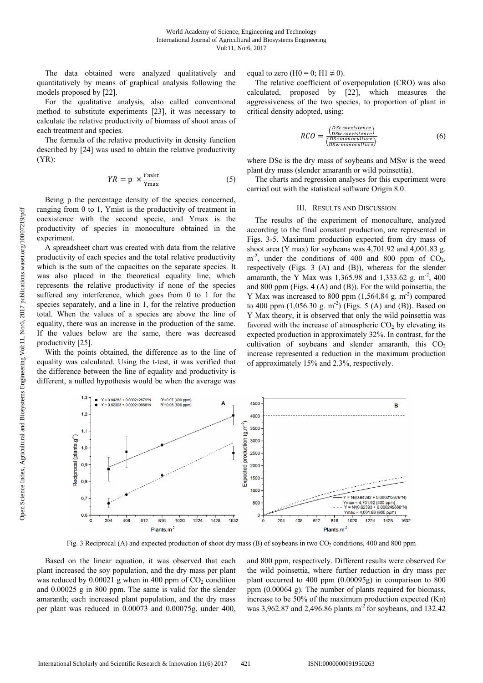The data obtained were analyzed qualitatively and quantitatively by means of graphical analysis following the models proposed by [22].

For the qualitative analysis, also called conventional method to substitute experiments [23], it was necessary to calculate the relative productivity of biomass of shoot areas of each treatment and species.

The formula of the relative productivity in density function described by [24] was used to obtain the relative productivity (YR):

$$
YR = p \times \frac{Ymist}{Ymax}
$$
 (5)

Being p the percentage density of the species concerned, ranging from 0 to 1, Ymist is the productivity of treatment in coexistence with the second specie, and Ymax is the productivity of species in monoculture obtained in the experiment.

A spreadsheet chart was created with data from the relative productivity of each species and the total relative productivity which is the sum of the capacities on the separate species. It was also placed in the theoretical equality line, which represents the relative productivity if none of the species suffered any interference, which goes from 0 to 1 for the species separately, and a line in 1, for the relative production total. When the values of a species are above the line of equality, there was an increase in the production of the same. If the values below are the same, there was decreased productivity [25].

With the points obtained, the difference as to the line of equality was calculated. Using the t-test, it was verified that the difference between the line of equality and productivity is different, a nulled hypothesis would be when the average was equal to zero (H0 = 0; H1  $\neq$  0).

The relative coefficient of overpopulation (CRO) was also calculated, proposed by [22], which measures the aggressiveness of the two species, to proportion of plant in critical density adopted, using:

$$
RCO = \frac{\frac{(DSc\ coexistence)}{(DSw\ coexistence)}}{\frac{(DSc\ nonoculture)}{(DSw\ monoculture)}}
$$
\n(6)

where DSc is the dry mass of soybeans and MSw is the weed plant dry mass (slender amaranth or wild poinsettia).

The charts and regression analyses for this experiment were carried out with the statistical software Origin 8.0.

# III. RESULTS AND DISCUSSION

The results of the experiment of monoculture, analyzed according to the final constant production, are represented in Figs. 3-5. Maximum production expected from dry mass of shoot area (Y max) for soybeans was 4,701.92 and 4,001.83 g.  $m<sup>-2</sup>$ , under the conditions of 400 and 800 ppm of CO<sub>2</sub>, respectively (Figs. 3 (A) and (B)), whereas for the slender amaranth, the Y Max was 1,365.98 and 1,333.62 g. m<sup>-2</sup>, 400 and 800 ppm (Figs. 4 (A) and (B)). For the wild poinsettia, the Y Max was increased to 800 ppm  $(1,564.84 \text{ g. m}^{-2})$  compared to 400 ppm  $(1,056.30 \text{ g. m}^{-2})$  (Figs. 5 (A) and (B)). Based on Y Max theory, it is observed that only the wild poinsettia was favored with the increase of atmospheric  $CO<sub>2</sub>$  by elevating its expected production in approximately 32%. In contrast, for the cultivation of soybeans and slender amaranth, this  $CO<sub>2</sub>$ increase represented a reduction in the maximum production of approximately 15% and 2.3%, respectively.



Fig. 3 Reciprocal (A) and expected production of shoot dry mass (B) of soybeans in two  $CO_2$  conditions, 400 and 800 ppm

Based on the linear equation, it was observed that each plant increased the soy population, and the dry mass per plant was reduced by  $0.00021$  g when in 400 ppm of  $CO<sub>2</sub>$  condition and 0.00025 g in 800 ppm. The same is valid for the slender amaranth; each increased plant population, and the dry mass per plant was reduced in 0.00073 and 0.00075g, under 400, and 800 ppm, respectively. Different results were observed for the wild poinsettia, where further reduction in dry mass per plant occurred to 400 ppm (0.00095g) in comparison to 800 ppm (0.00064 g). The number of plants required for biomass, increase to be 50% of the maximum production expected (Kn) was 3,962.87 and 2,496.86 plants  $m^2$  for soybeans, and 132.42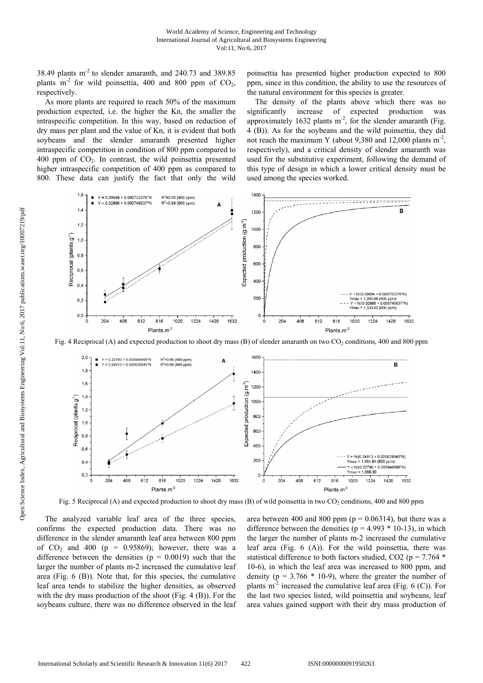38.49 plants  $m<sup>2</sup>$  to slender amaranth, and 240.73 and 389.85 plants  $m<sup>2</sup>$  for wild poinsettia, 400 and 800 ppm of CO<sub>2</sub>, respectively.

As more plants are required to reach 50% of the maximum production expected, i.e. the higher the Kn, the smaller the intraspecific competition. In this way, based on reduction of dry mass per plant and the value of Kn, it is evident that both soybeans and the slender amaranth presented higher intraspecific competition in condition of 800 ppm compared to  $400$  ppm of  $CO<sub>2</sub>$ . In contrast, the wild poinsettia presented higher intraspecific competition of 400 ppm as compared to 800. These data can justify the fact that only the wild poinsettia has presented higher production expected to 800 ppm, since in this condition, the ability to use the resources of the natural environment for this species is greater.

The density of the plants above which there was no significantly increase of expected production was approximately 1632 plants  $m<sup>2</sup>$ , for the slender amaranth (Fig. 4 (B)). As for the soybeans and the wild poinsettia, they did not reach the maximum Y (about 9,380 and 12,000 plants  $m<sup>2</sup>$ , respectively), and a critical density of slender amaranth was used for the substitutive experiment, following the demand of this type of design in which a lower critical density must be used among the species worked.



Fig. 4 Reciprocal (A) and expected production to shoot dry mass (B) of slender amaranth on two CO<sub>2</sub> conditions, 400 and 800 ppm



Fig. 5 Reciprocal (A) and expected production to shoot dry mass (B) of wild poinsettia in two  $CO_2$  conditions, 400 and 800 ppm

The analyzed variable leaf area of the three species, confirms the expected production data. There was no difference in the slender amaranth leaf area between 800 ppm of  $CO<sub>2</sub>$  and 400 (p = 0.95869); however, there was a difference between the densities ( $p = 0.0019$ ) such that the larger the number of plants m-2 increased the cumulative leaf area (Fig. 6 (B)). Note that, for this species, the cumulative leaf area tends to stabilize the higher densities, as observed with the dry mass production of the shoot (Fig. 4 (B)). For the soybeans culture, there was no difference observed in the leaf

area between 400 and 800 ppm ( $p = 0.06314$ ), but there was a difference between the densities ( $p = 4.993 * 10-13$ ), in which the larger the number of plants m-2 increased the cumulative leaf area (Fig. 6 (A)). For the wild poinsettia, there was statistical difference to both factors studied, CO2 ( $p = 7.764$  \* 10-6), in which the leaf area was increased to 800 ppm, and density ( $p = 3.766 * 10-9$ ), where the greater the number of plants  $m<sup>2</sup>$  increased the cumulative leaf area (Fig. 6 (C)). For the last two species listed, wild poinsettia and soybeans, leaf area values gained support with their dry mass production of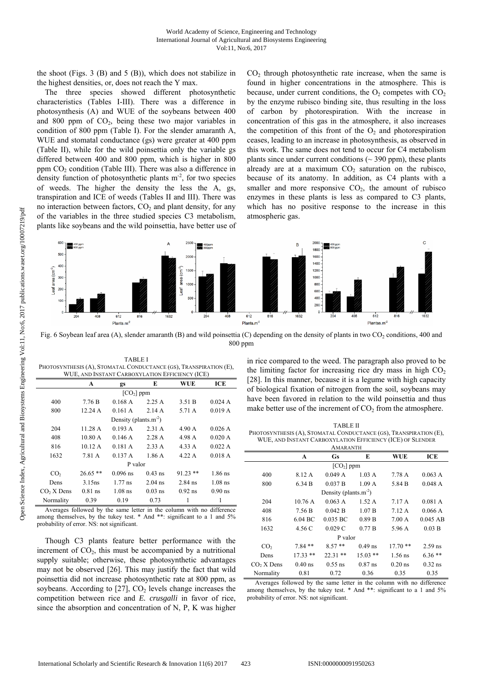the shoot (Figs.  $3$  (B) and  $5$  (B)), which does not stabilize in the highest densities, or, does not reach the Y max.

The three species showed different photosynthetic characteristics (Tables I-III). There was a difference in photosynthesis (A) and WUE of the soybeans between 400 and 800 ppm of  $CO<sub>2</sub>$ , being these two major variables in condition of 800 ppm (Table I). For the slender amaranth A, WUE and stomatal conductance (gs) were greater at 400 ppm (Table II), while for the wild poinsettia only the variable gs differed between 400 and 800 ppm, which is higher in 800 ppm  $CO<sub>2</sub>$  condition (Table III). There was also a difference in density function of photosynthetic plants  $m<sup>2</sup>$ , for two species of weeds. The higher the density the less the A, gs, transpiration and ICE of weeds (Tables II and III). There was no interaction between factors,  $CO<sub>2</sub>$  and plant density, for any of the variables in the three studied species C3 metabolism, plants like soybeans and the wild poinsettia, have better use of  $CO<sub>2</sub>$  through photosynthetic rate increase, when the same is found in higher concentrations in the atmosphere. This is because, under current conditions, the  $O_2$  competes with  $CO_2$ by the enzyme rubisco binding site, thus resulting in the loss of carbon by photorespiration. With the increase in concentration of this gas in the atmosphere, it also increases the competition of this front of the  $O<sub>2</sub>$  and photorespiration ceases, leading to an increase in photosynthesis, as observed in this work. The same does not tend to occur for C4 metabolism plants since under current conditions ( $\sim$  390 ppm), these plants already are at a maximum  $CO<sub>2</sub>$  saturation on the rubisco, because of its anatomy. In addition, as C4 plants with a smaller and more responsive  $CO<sub>2</sub>$ , the amount of rubisco enzymes in these plants is less as compared to C3 plants, which has no positive response to the increase in this atmospheric gas.



Fig. 6 Soybean leaf area (A), slender amaranth (B) and wild poinsettia (C) depending on the density of plants in two CO<sub>2</sub> conditions, 400 and 800 ppm

| PHOTOSYNTHESIS (A), STOMATAL CONDUCTANCE (GS), TRANSPIRATION (E), |           |                          |           |            |           |
|-------------------------------------------------------------------|-----------|--------------------------|-----------|------------|-----------|
| WUE, AND INSTANT CARBOXYLATION EFFICIENCY (ICE)                   |           |                          |           |            |           |
|                                                                   | A         | gs                       | E         | WUE        | ICE       |
|                                                                   |           | $[CO2]$ ppm              |           |            |           |
| 400                                                               | 7.76 B    | 0.168A                   | 2.25A     | 3.51 B     | 0.024A    |
| 800                                                               | 12.24 A   | 0.161A                   | 2.14A     | 5.71 A     | 0.019A    |
|                                                                   |           | Density (plants. $m-2$ ) |           |            |           |
| 204                                                               | 11.28A    | 0.193 A                  | 2.31 A    | 4.90 A     | 0.026A    |
| 408                                                               | 10.80 A   | 0.146A                   | 2.28A     | 4.98 A     | 0.020 A   |
| 816                                                               | 10.12 A   | 0.181A                   | 2.33A     | 4.33 A     | 0.022 A   |
| 1632                                                              | 7.81 A    | 0.137A                   | 1.86A     | 4.22A      | 0.018A    |
|                                                                   |           | P valor                  |           |            |           |
| CO <sub>2</sub>                                                   | $26.65**$ | $0.096$ ns               | $0.43$ ns | $91.23$ ** | $1.86$ ns |
| Dens                                                              | 3.15ns    | $1.77$ ns                | $2.04$ ns | $2.84$ ns  | $1.08$ ns |
| $CO2 X$ Dens                                                      | $0.81$ ns | $1.08$ ns                | $0.03$ ns | $0.92$ ns  | $0.90$ ns |
| Normality                                                         | 0.39      | 0.19                     | 0.73      |            | 1         |

TABLE I

Averages followed by the same letter in the column with no difference among themselves, by the tukey test. \* And \*\*: significant to a 1 and 5% probability of error. NS: not significant.

Though C3 plants feature better performance with the increment of  $CO<sub>2</sub>$ , this must be accompanied by a nutritional supply suitable; otherwise, these photosynthetic advantages may not be observed [26]. This may justify the fact that wild poinsettia did not increase photosynthetic rate at 800 ppm, as soybeans. According to  $[27]$ ,  $CO<sub>2</sub>$  levels change increases the competition between rice and *E. crusgalli* in favor of rice, since the absorption and concentration of N, P, K was higher in rice compared to the weed. The paragraph also proved to be the limiting factor for increasing rice dry mass in high  $CO<sub>2</sub>$ [28]. In this manner, because it is a legume with high capacity of biological fixation of nitrogen from the soil, soybeans may have been favored in relation to the wild poinsettia and thus make better use of the increment of  $CO<sub>2</sub>$  from the atmosphere.

| <b>TABLE II</b>                                                   |
|-------------------------------------------------------------------|
| PHOTOSYNTHESIS (A), STOMATAL CONDUCTANCE (GS), TRANSPIRATION (E), |
| WUE, AND INSTANT CARBOXYLATION EFFICIENCY (ICE) OF SLENDER        |
| ANGAD ANTEE                                                       |

|                 | <b>AMARANTH</b> |                                   |                  |                 |            |
|-----------------|-----------------|-----------------------------------|------------------|-----------------|------------|
|                 | A               | <b>Gs</b>                         | E                | WUE             | ICE        |
|                 |                 | $[CO2]$ ppm                       |                  |                 |            |
| 400             | 8.12 A          | 0.049A                            | $1.03 \text{ A}$ | 7.78 A          | 0.063 A    |
| 800             | 6.34 B          | 0.037 B                           | 1.09A            | 5.84 B          | 0.048A     |
|                 |                 | Density (plants.m <sup>-2</sup> ) |                  |                 |            |
| 204             | 10.76A          | 0.063 A                           | 1.52A            | 7.17 A          | 0.081A     |
| 408             | 7.56 B          | 0.042 B                           | 1.07 B           | 7.12A           | 0.066A     |
| 816             | $6.04$ BC       | $0.035$ BC                        | 0.89 B           | $7.00\text{ A}$ | $0.045$ AB |
| 1632            | 4.56 C          | 0.029C                            | 0.77B            | 5.96 A          | 0.03 B     |
|                 |                 | P valor                           |                  |                 |            |
| CO <sub>2</sub> | $7.84**$        | $8.57**$                          | $0.49$ ns        | $17.70**$       | $2.59$ ns. |
| Dens            | $17.33**$       | $22.31**$                         | $15.03**$        | $1.56$ ns       | $6.36**$   |
| $CO2$ X Dens    | $0.40$ ns       | $0.55$ ns                         | $0.87$ ns        | $0.20$ ns       | $0.32$ ns  |
| Normality       | 0.81            | 0.72                              | 0.36             | 0.35            | 0.35       |

Averages followed by the same letter in the column with no difference among themselves, by the tukey test. \* And \*\*: significant to a 1 and 5% probability of error. NS: not significant.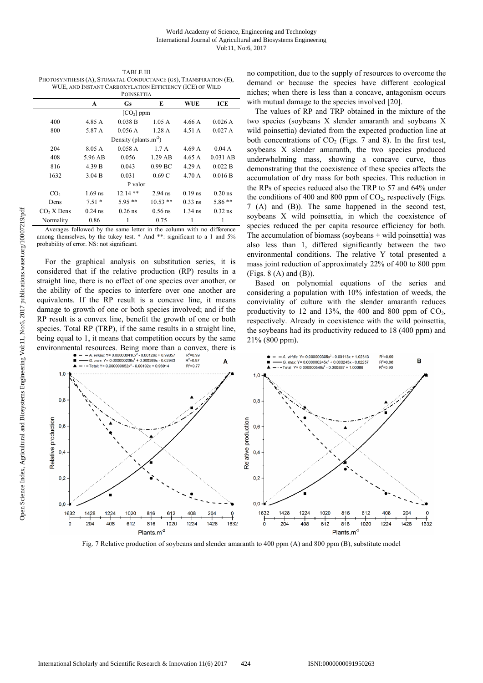TABLE III PHOTOSYNTHESIS (A), STOMATAL CONDUCTANCE (GS), TRANSPIRATION (E), WUE, AND INSTANT CARBOXYLATION EFFICIENCY (ICE) OF WILD

|                 |           | <b>POINSETTIA</b>                 |            |           |            |
|-----------------|-----------|-----------------------------------|------------|-----------|------------|
|                 | A         | <b>Gs</b>                         | E          | WUE       | ICE        |
|                 |           | $[CO2]$ ppm                       |            |           |            |
| 400             | 4.85 A    | 0.038 B                           | 1.05A      | 4.66 A    | 0.026A     |
| 800             | 5.87 A    | 0.056A                            | 1.28A      | 4.51 A    | 0.027A     |
|                 |           | Density (plants.m <sup>-2</sup> ) |            |           |            |
| 204             | 8.05 A    | 0.058A                            | 1.7A       | 4.69 A    | 0.04A      |
| 408             | 5.96 AB   | 0.056                             | $1.29$ AB  | 4.65A     | $0.031$ AB |
| 816             | 4.39 B    | 0.043                             | $0.99$ BC  | 4.29 A    | 0.022 B    |
| 1632            | 3.04 B    | 0.031                             | 0.69C      | 4.70 A    | 0.016 B    |
|                 |           | P valor                           |            |           |            |
| CO <sub>2</sub> | $1.69$ ns | $12.14**$                         | $2.94$ ns  | $0.19$ ns | $0.20$ ns  |
| Dens            | $7.51*$   | $5.95**$                          | $10.53$ ** | $0.33$ ns | $5.86**$   |
| $CO2 X$ Dens    | $0.24$ ns | $0.26$ ns                         | $0.56$ ns  | $1.34$ ns | $0.32$ ns  |
| Normality       | 0.86      |                                   | 0.75       | 1         | 1          |

Averages followed by the same letter in the column with no difference among themselves, by the tukey test. \* And \*\*: significant to a 1 and 5% probability of error. NS: not significant.

For the graphical analysis on substitution series, it is considered that if the relative production (RP) results in a straight line, there is no effect of one species over another, or the ability of the species to interfere over one another are equivalents. If the RP result is a concave line, it means damage to growth of one or both species involved; and if the RP result is a convex line, benefit the growth of one or both species. Total RP (TRP), if the same results in a straight line, being equal to 1, it means that competition occurs by the same no competition, due to the supply of resources to overcome the demand or because the species have different ecological niches; when there is less than a concave, antagonism occurs with mutual damage to the species involved [20].

The values of RP and TRP obtained in the mixture of the two species (soybeans X slender amaranth and soybeans X wild poinsettia) deviated from the expected production line at both concentrations of  $CO<sub>2</sub>$  (Figs. 7 and 8). In the first test, soybeans X slender amaranth, the two species produced underwhelming mass, showing a concave curve, thus demonstrating that the coexistence of these species affects the accumulation of dry mass for both species. This reduction in the RPs of species reduced also the TRP to 57 and 64% under the conditions of 400 and 800 ppm of  $CO<sub>2</sub>$ , respectively (Figs. 7 (A) and (B)). The same happened in the second test, soybeans X wild poinsettia, in which the coexistence of species reduced the per capita resource efficiency for both. The accumulation of biomass (soybeans  $+$  wild poinsettia) was also less than 1, differed significantly between the two environmental conditions. The relative Y total presented a mass joint reduction of approximately 22% of 400 to 800 ppm  $(Figs. 8 (A)$  and  $(B)$ ).

Based on polynomial equations of the series and considering a population with 10% infestation of weeds, the conviviality of culture with the slender amaranth reduces productivity to 12 and 13%, the 400 and 800 ppm of  $CO<sub>2</sub>$ , respectively. Already in coexistence with the wild poinsettia, the soybeans had its productivity reduced to 18 (400 ppm) and 21% (800 ppm).



Fig. 7 Relative production of soybeans and slender amaranth to 400 ppm (A) and 800 ppm (B), substitute model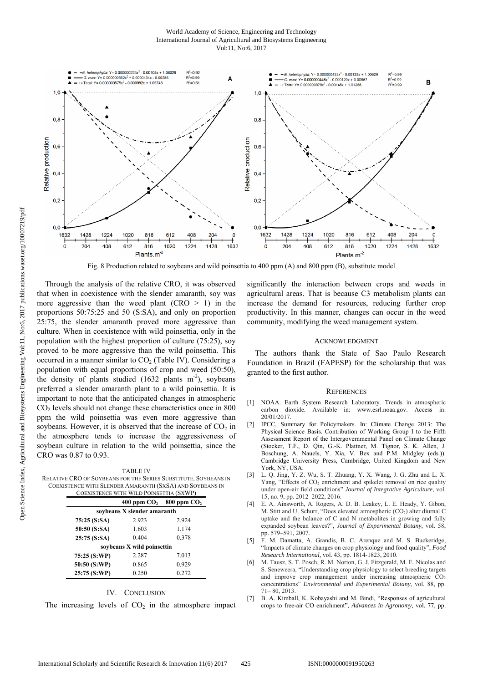#### World Academy of Science, Engineering and Technology International Journal of Agricultural and Biosystems Engineering Vol:11, No:6, 2017



Fig. 8 Production related to soybeans and wild poinsettia to 400 ppm (A) and 800 ppm (B), substitute model

Through the analysis of the relative CRO, it was observed that when in coexistence with the slender amaranth, soy was more aggressive than the weed plant  $(CRO > 1)$  in the proportions 50:75:25 and 50 (S:SA), and only on proportion 25:75, the slender amaranth proved more aggressive than culture. When in coexistence with wild poinsettia, only in the population with the highest proportion of culture (75:25), soy proved to be more aggressive than the wild poinsettia. This occurred in a manner similar to  $CO<sub>2</sub>$  (Table IV). Considering a population with equal proportions of crop and weed (50:50), the density of plants studied  $(1632 \text{ plants} \text{ m}^2)$ , soybeans preferred a slender amaranth plant to a wild poinsettia. It is important to note that the anticipated changes in atmospheric  $CO<sub>2</sub>$  levels should not change these characteristics once in 800 ppm the wild poinsettia was even more aggressive than soybeans. However, it is observed that the increase of  $CO<sub>2</sub>$  in the atmosphere tends to increase the aggressiveness of soybean culture in relation to the wild poinsettia, since the CRO was 0.87 to 0.93.

TABLE IV RELATIVE CRO OF SOYBEANS FOR THE SERIES SUBSTITUTE, SOYBEANS IN COEXISTENCE WITH SLENDER AMARANTH (SXSA) AND SOYBEANS IN COEXISTENCE WITH WILD POINSETTIA (SXWP)

|                             |       | 400 ppm $CO2$ 800 ppm $CO2$ |  |  |
|-----------------------------|-------|-----------------------------|--|--|
| soybeans X slender amaranth |       |                             |  |  |
| 75:25 (S:SA)                | 2.923 | 2.924                       |  |  |
| 50:50 (S:SA)                | 1.603 | 1.174                       |  |  |
| 25:75(S:SA)                 | 0.404 | 0.378                       |  |  |
| soybeans X wild poinsettia  |       |                             |  |  |
| 75:25 (S:WP)                | 2.287 | 7.013                       |  |  |
| 50:50 (S:WP)                | 0.865 | 0.929                       |  |  |
| 25:75 (S:WP)                | 0.250 | 0.272                       |  |  |

#### IV. CONCLUSION

The increasing levels of  $CO<sub>2</sub>$  in the atmosphere impact

significantly the interaction between crops and weeds in agricultural areas. That is because C3 metabolism plants can increase the demand for resources, reducing further crop productivity. In this manner, changes can occur in the weed community, modifying the weed management system.

#### ACKNOWLEDGMENT

The authors thank the State of Sao Paulo Research Foundation in Brazil (FAPESP) for the scholarship that was granted to the first author.

#### **REFERENCES**

- [1] NOAA. Earth System Research Laboratory. Trends in atmospheric carbon dioxide. Available in: www.esrl.noaa.gov. Access 20/01/2017.
- [2] IPCC, Summary for Policymakers. In: Climate Change 2013: The Physical Science Basis. Contribution of Working Group I to the Fifth Assessment Report of the Intergovernmental Panel on Climate Change (Stocker, T.F., D. Qin, G.-K. Plattner, M. Tignor, S. K. Allen, J. Boschung, A. Nauels, Y. Xia, V. Bex and P.M. Midgley (eds.)). Cambridge University Press, Cambridge, United Kingdom and New York, NY, USA.
- [3] L. Q. Jing, Y. Z. Wu, S. T. Zhuang, Y. X. Wang, J. G. Zhu and L. X. Yang, "Effects of  $CO<sub>2</sub>$  enrichment and spikelet removal on rice quality under open-air field conditions" *Journal of Integrative Agriculture,* vol. 15, no. 9, pp. 2012–2022, 2016.
- [4] E. A. Ainsworth, A. Rogers, A. D. B. Leakey, L. E. Heady, Y. Gibon, M. Stitt and U. Schurr, "Does elevated atmospheric  $(CO<sub>2</sub>)$  alter diurnal C uptake and the balance of C and N metabolites in growing and fully expanded soybean leaves?", *Journal of Experimental Botany*, vol. 58, pp. 579–591, 2007.
- [5] F. M. Damatta, A. Grandis, B. C. Arenque and M. S. Buckeridge, "Impacts of climate changes on crop physiology and food quality", *Food Research International*, vol. 43, pp. 1814-1823, 2010.
- [6] M. Tausz, S. T. Posch, R. M. Norton, G. J. Fitzgerald, M. E. Nicolas and S. Seneweera, "Understanding crop physiology to select breeding targets and improve crop management under increasing atmospheric  $CO<sub>2</sub>$ concentrations" *Environmental and Experimental Botany*, vol. 88, pp. 71– 80, 2013.
- [7] B. A. Kimball, K. Kobayashi and M. Bindi, "Responses of agricultural crops to free-air CO enrichment", *Advances in Agronomy*, vol. 77, pp.